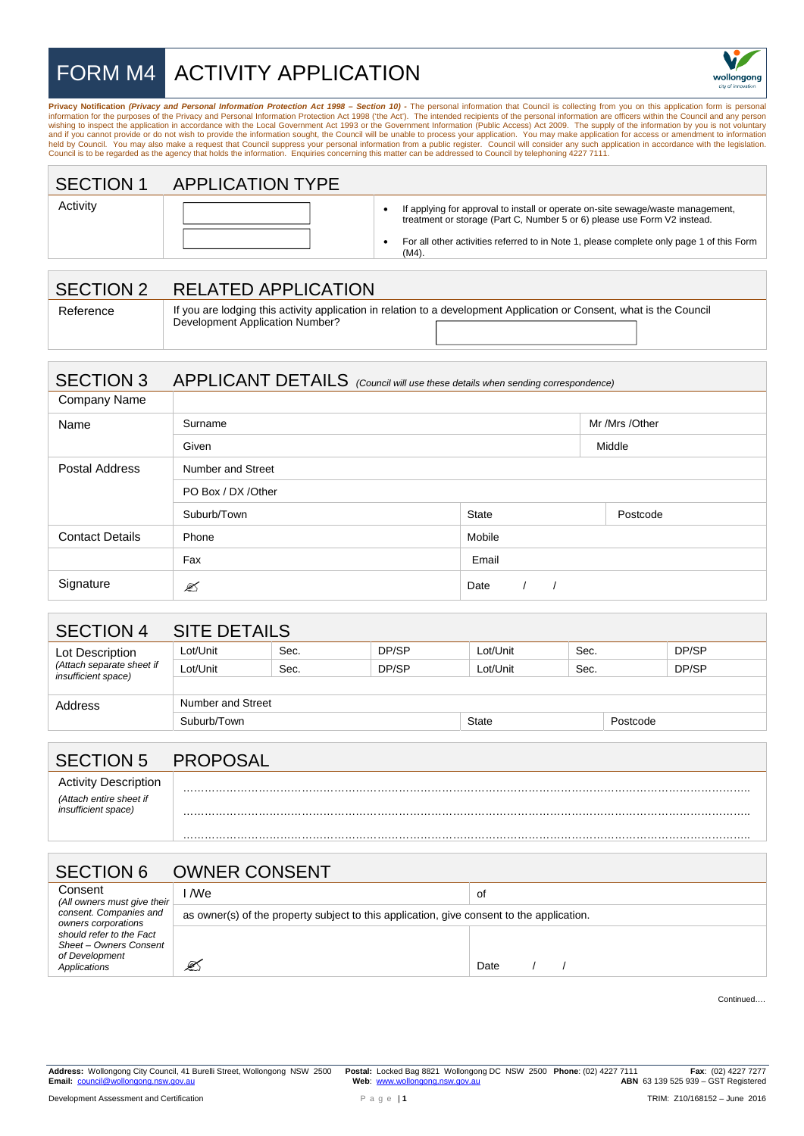## FORM M4 ACTIVITY APPLICATION



**Privacy Notification (Privacy and Personal Information Protection Act 1998 – Section 10) - The personal information that Council is collecting from you on this application form is personal information for the purposes of** Council is to be regarded as the agency that holds the information. Enquiries concerning this matter can be addressed to Council by telephoning 4227 7111.

| <b>SECTION 1</b> | <b>APPLICATION TYPE</b> |
|------------------|-------------------------|
|                  |                         |

| Activity |
|----------|
|----------|

| __________ |  |  | _ _ |  |
|------------|--|--|-----|--|
|            |  |  |     |  |
|            |  |  |     |  |
|            |  |  |     |  |
|            |  |  |     |  |
|            |  |  |     |  |
|            |  |  |     |  |
|            |  |  |     |  |

• If applying for approval to install or operate on-site sewage/waste management, treatment or storage (Part C, Number 5 or 6) please use Form V2 instead.

• For all other activities referred to in Note 1, please complete only page 1 of this Form (M4).

## SECTION 2 RELATED APPLICATION

| Reference |                                 | If you are lodging this activity application in relation to a development Application or Consent, what is the Council |  |
|-----------|---------------------------------|-----------------------------------------------------------------------------------------------------------------------|--|
|           | Development Application Number? |                                                                                                                       |  |

## SECTION 3 APPLICANT DETAILS *(Council will use these details when sending correspondence)*

| Company Name           |                     |                |          |  |
|------------------------|---------------------|----------------|----------|--|
| Name                   | Surname             | Mr /Mrs /Other |          |  |
|                        | Given               |                | Middle   |  |
| Postal Address         | Number and Street   |                |          |  |
|                        | PO Box / DX / Other |                |          |  |
|                        | Suburb/Town         | State          | Postcode |  |
| <b>Contact Details</b> | Phone               | Mobile         |          |  |
|                        | Fax                 | Email          |          |  |
| Signature              | ✍                   | Date           |          |  |

| SECTION 4                                               | <b>SITE DETAILS</b> |      |       |              |      |          |       |
|---------------------------------------------------------|---------------------|------|-------|--------------|------|----------|-------|
| Lot Description                                         | Lot/Unit            | Sec. | DP/SP | Lot/Unit     | Sec. |          | DP/SP |
| (Attach separate sheet if<br><i>insufficient space)</i> | Lot/Unit            | Sec. | DP/SP | Lot/Unit     | Sec. |          | DP/SP |
|                                                         |                     |      |       |              |      |          |       |
| Address                                                 | Number and Street   |      |       |              |      |          |       |
|                                                         | Suburb/Town         |      |       | <b>State</b> |      | Postcode |       |

| <b>SECTION 5</b>                               | <b>PROPO</b><br>`SA∟ |
|------------------------------------------------|----------------------|
| <b>Activity Description</b>                    |                      |
| (Attach entire sheet if<br>insufficient space) |                      |
|                                                |                      |

| <b>SECTION 6</b>                                                                                                                      | <b>OWNER CONSENT</b>                                                                      |      |  |
|---------------------------------------------------------------------------------------------------------------------------------------|-------------------------------------------------------------------------------------------|------|--|
| Consent<br>(All owners must give their                                                                                                | I /We                                                                                     | of   |  |
| consent. Companies and<br>owners corporations<br>should refer to the Fact<br>Sheet - Owners Consent<br>of Development<br>Applications | as owner(s) of the property subject to this application, give consent to the application. |      |  |
|                                                                                                                                       | ⅇ                                                                                         | Date |  |

Continued….

**Address:** Wollongong City Council, 41 Burelli Street, Wollongong NSW 2500 **Postal:** Locked Bag 8821 Wollongong DC NSW 2500 **Phone**: (02) 4227 7111 **Fax**: (02) 4227 7277 **ABN** 63 139 525 939 – GST Registered